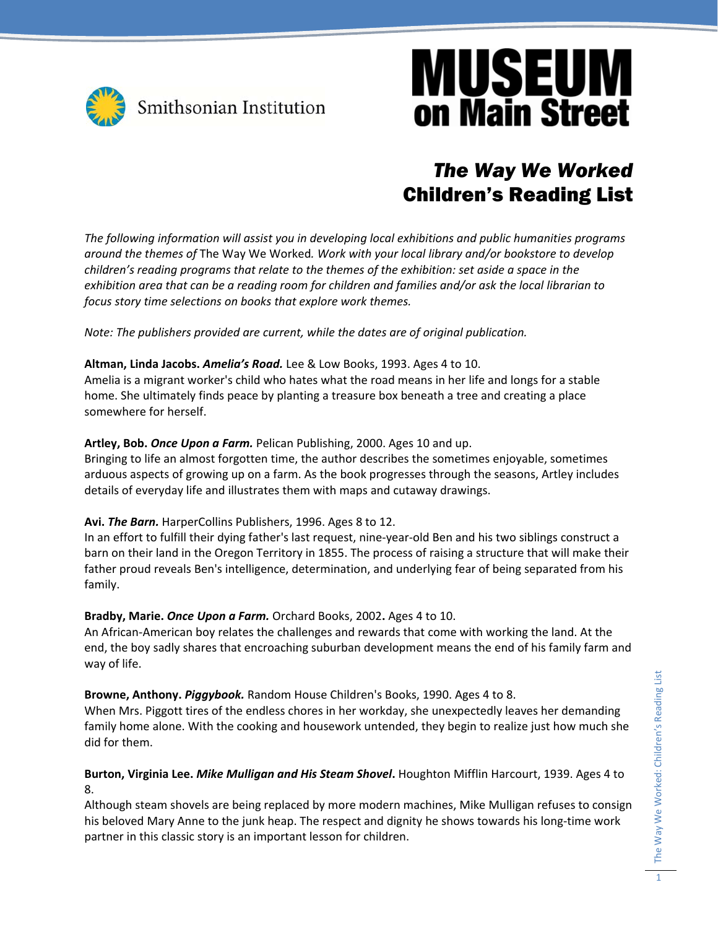

## **MUSEUM on Main Street**

### *The Way We Worked*  Children's Reading List

*The following information will assist you in developing local exhibitions and public humanities programs around the themes of* The Way We Worked*. Work with your local library and/or bookstore to develop children's reading programs that relate to the themes of the exhibition: set aside a space in the* exhibition area that can be a reading room for children and families and/or ask the local librarian to *focus story time selections on books that explore work themes.* 

*Note: The publishers provided are current, while the dates are of original publication.*

#### **Altman, Linda Jacobs.** *Amelia's Road.* Lee & Low Books, 1993. Ages 4 to 10.

Amelia is a migrant worker's child who hates what the road means in her life and longs for a stable home. She ultimately finds peace by planting a treasure box beneath a tree and creating a place somewhere for herself.

#### **Artley, Bob.** *Once Upon a Farm.* Pelican Publishing, 2000. Ages 10 and up.

Bringing to life an almost forgotten time, the author describes the sometimes enjoyable, sometimes arduous aspects of growing up on a farm. As the book progresses through the seasons, Artley includes details of everyday life and illustrates them with maps and cutaway drawings.

#### **Avi.** *The Barn.* HarperCollins Publishers, 1996. Ages 8 to 12.

In an effort to fulfill their dying father's last request, nine‐year‐old Ben and his two siblings construct a barn on their land in the Oregon Territory in 1855. The process of raising a structure that will make their father proud reveals Ben's intelligence, determination, and underlying fear of being separated from his family.

#### **Bradby, Marie.** *Once Upon a Farm.* Orchard Books, 2002**.** Ages 4 to 10.

An African‐American boy relates the challenges and rewards that come with working the land. At the end, the boy sadly shares that encroaching suburban development means the end of his family farm and way of life.

**Browne, Anthony.** *Piggybook.* Random House Children's Books, 1990. Ages 4 to 8.

When Mrs. Piggott tires of the endless chores in her workday, she unexpectedly leaves her demanding family home alone. With the cooking and housework untended, they begin to realize just how much she did for them.

#### **Burton, Virginia Lee.** *Mike Mulligan and His Steam Shovel***.** Houghton Mifflin Harcourt, 1939. Ages 4 to 8.

Although steam shovels are being replaced by more modern machines, Mike Mulligan refuses to consign his beloved Mary Anne to the junk heap. The respect and dignity he shows towards his long-time work partner in this classic story is an important lesson for children.